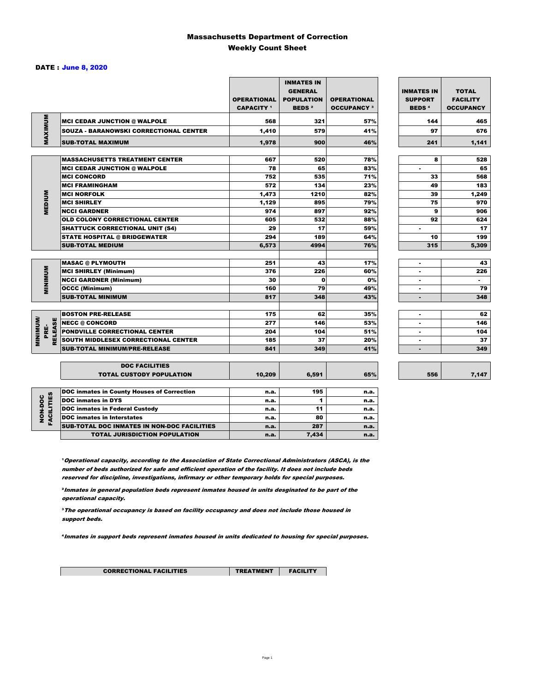### Massachusetts Department of Correction Weekly Count Sheet

#### DATE : June 8, 2020

|                                  |                                                   | <b>OPERATIONAL</b><br><b>CAPACITY 1</b> | <b>INMATES IN</b><br><b>GENERAL</b><br><b>POPULATION</b><br><b>BEDS<sup>2</sup></b> | <b>OPERATIONAL</b><br><b>OCCUPANCY 3</b> | <b>INMATES IN</b><br><b>SUPPORT</b><br><b>BEDS<sup>4</sup></b> | <b>TOTAL</b><br><b>FACILITY</b><br><b>OCCUPANCY</b> |
|----------------------------------|---------------------------------------------------|-----------------------------------------|-------------------------------------------------------------------------------------|------------------------------------------|----------------------------------------------------------------|-----------------------------------------------------|
| MAXIMUM                          | <b>MCI CEDAR JUNCTION @ WALPOLE</b>               | 568                                     | 321                                                                                 | 57%                                      | 144                                                            | 465                                                 |
|                                  | <b>SOUZA - BARANOWSKI CORRECTIONAL CENTER</b>     | 1,410                                   | 579                                                                                 | 41%                                      | 97                                                             | 676                                                 |
|                                  | <b>SUB-TOTAL MAXIMUM</b>                          | 1,978                                   | 900                                                                                 | 46%                                      | 241                                                            | 1,141                                               |
|                                  |                                                   |                                         |                                                                                     |                                          |                                                                |                                                     |
|                                  | <b>MASSACHUSETTS TREATMENT CENTER</b>             | 667                                     | 520                                                                                 | 78%                                      | 8                                                              | 528                                                 |
|                                  | <b>MCI CEDAR JUNCTION @ WALPOLE</b>               | 78                                      | 65                                                                                  | 83%                                      | ٠                                                              | 65                                                  |
|                                  | <b>MCI CONCORD</b>                                | 752                                     | 535                                                                                 | 71%                                      | 33                                                             | 568                                                 |
|                                  | <b>MCI FRAMINGHAM</b>                             | 572                                     | 134                                                                                 | 23%                                      | 49                                                             | 183                                                 |
| <b>MEDIUM</b>                    | <b>MCI NORFOLK</b>                                | 1,473                                   | 1210                                                                                | 82%                                      | 39                                                             | 1,249                                               |
|                                  | <b>MCI SHIRLEY</b>                                | 1,129                                   | 895                                                                                 | 79%                                      | 75                                                             | 970                                                 |
|                                  | <b>NCCI GARDNER</b>                               | 974                                     | 897                                                                                 | 92%                                      | 9                                                              | 906                                                 |
|                                  | OLD COLONY CORRECTIONAL CENTER                    | 605                                     | 532                                                                                 | 88%                                      | 92                                                             | 624                                                 |
|                                  | <b>SHATTUCK CORRECTIONAL UNIT (S4)</b>            | 29                                      | 17                                                                                  | 59%                                      | ٠                                                              | 17                                                  |
|                                  | <b>STATE HOSPITAL @ BRIDGEWATER</b>               | 294                                     | 189                                                                                 | 64%                                      | 10                                                             | 199                                                 |
|                                  | <b>SUB-TOTAL MEDIUM</b>                           | 6,573                                   | 4994                                                                                | 76%                                      | 315                                                            | 5,309                                               |
|                                  | <b>MASAC @ PLYMOUTH</b>                           | 251                                     | 43                                                                                  | 17%                                      |                                                                | 43                                                  |
|                                  | <b>MCI SHIRLEY (Minimum)</b>                      | 376                                     | 226                                                                                 | 60%                                      | ٠                                                              | 226                                                 |
| <b>MINIMUM</b>                   | <b>NCCI GARDNER (Minimum)</b>                     | 30                                      | $\Omega$                                                                            | 0%                                       | ٠                                                              | $\sim$                                              |
|                                  | <b>OCCC (Minimum)</b>                             | 160                                     | 79                                                                                  | 49%                                      | ٠                                                              | 79                                                  |
|                                  | <b>SUB-TOTAL MINIMUM</b>                          | 817                                     | 348                                                                                 | 43%                                      | $\blacksquare$                                                 | 348                                                 |
|                                  |                                                   |                                         |                                                                                     |                                          |                                                                |                                                     |
|                                  | <b>BOSTON PRE-RELEASE</b>                         | 175                                     | 62                                                                                  | 35%                                      | ٠                                                              | 62                                                  |
|                                  | <b>NECC @ CONCORD</b>                             | 277                                     | 146                                                                                 | 53%                                      |                                                                | 146                                                 |
| PRE-                             | PONDVILLE CORRECTIONAL CENTER                     | 204                                     | 104                                                                                 | 51%                                      | ٠                                                              | 104                                                 |
| <b>MINIMIN</b><br><b>RELEASE</b> | SOUTH MIDDLESEX CORRECTIONAL CENTER               | 185                                     | 37                                                                                  | 20%                                      | ٠                                                              | 37                                                  |
|                                  | <b>SUB-TOTAL MINIMUM/PRE-RELEASE</b>              | 841                                     | 349                                                                                 | 41%                                      | $\blacksquare$                                                 | 349                                                 |
|                                  | <b>DOC FACILITIES</b>                             |                                         |                                                                                     |                                          |                                                                |                                                     |
|                                  | <b>TOTAL CUSTODY POPULATION</b>                   | 10,209                                  | 6,591                                                                               | 65%                                      | 556                                                            | 7,147                                               |
|                                  | <b>DOC inmates in County Houses of Correction</b> | n.a.                                    | 195                                                                                 | n.a.                                     |                                                                |                                                     |
| FACILITIES                       | <b>DOC</b> inmates in DYS                         | n.a.                                    | 1                                                                                   | n.a.                                     |                                                                |                                                     |
| NON-DOC                          | <b>DOC inmates in Federal Custody</b>             | n.a.                                    | 11                                                                                  | n.a.                                     |                                                                |                                                     |
|                                  | <b>DOC</b> inmates in Interstates                 | n.a.                                    | 80                                                                                  | n.a.                                     |                                                                |                                                     |
|                                  | CUR TOTAL BOO INIAATEC IN NON BOO FAOILITIES      |                                         | $\sim$                                                                              |                                          |                                                                |                                                     |

**Operational capacity, according to the Association of State Correctional Administrators (ASCA), is the** number of beds authorized for safe and efficient operation of the facility. It does not include beds reserved for discipline, investigations, infirmary or other temporary holds for special purposes.

SUB-TOTAL DOC INMATES IN NON-DOC FACILITIES n.a. 287 n.a. TOTAL JURISDICTION POPULATION **n.a.** 7,434 n.a.

²Inmates in general population beds represent inmates housed in units desginated to be part of the operational capacity.

³The operational occupancy is based on facility occupancy and does not include those housed in support beds.

⁴Inmates in support beds represent inmates housed in units dedicated to housing for special purposes.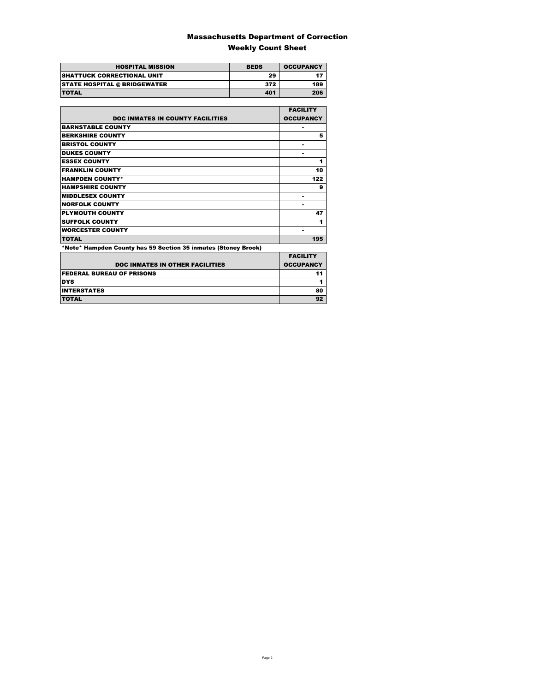### Massachusetts Department of Correction Weekly Count Sheet

| <b>HOSPITAL MISSION</b>             | <b>BEDS</b> | <b>OCCUPANCY</b> |
|-------------------------------------|-------------|------------------|
| <b>SHATTUCK CORRECTIONAL UNIT</b>   | 29          |                  |
| <b>STATE HOSPITAL @ BRIDGEWATER</b> | 372         | 189              |
| <b>TOTAL</b>                        | 401         | 206              |

|                                                                | <b>FACILITY</b>  |
|----------------------------------------------------------------|------------------|
| <b>DOC INMATES IN COUNTY FACILITIES</b>                        | <b>OCCUPANCY</b> |
| <b>BARNSTABLE COUNTY</b>                                       |                  |
| <b>BERKSHIRE COUNTY</b>                                        | 5                |
| <b>BRISTOL COUNTY</b>                                          |                  |
| <b>DUKES COUNTY</b>                                            |                  |
| <b>ESSEX COUNTY</b>                                            | 1                |
| <b>FRANKLIN COUNTY</b>                                         | 10               |
| <b>HAMPDEN COUNTY*</b>                                         | 122              |
| <b>HAMPSHIRE COUNTY</b>                                        | 9                |
| <b>MIDDLESEX COUNTY</b>                                        | ۰                |
| <b>NORFOLK COUNTY</b>                                          | ۰                |
| <b>PLYMOUTH COUNTY</b>                                         | 47               |
| <b>SUFFOLK COUNTY</b>                                          | 1                |
| <b>WORCESTER COUNTY</b>                                        |                  |
| <b>TOTAL</b>                                                   | 195              |
| *Note* Hampden County has 59 Section 35 inmates (Stoney Brook) |                  |
|                                                                | <b>EACH ITV</b>  |

| <b>DOC INMATES IN OTHER FACILITIES</b> | <b>FACILITY</b><br><b>OCCUPANCY</b> |
|----------------------------------------|-------------------------------------|
| <b>FEDERAL BUREAU OF PRISONS</b>       |                                     |
| <b>DYS</b>                             |                                     |
| <b>INTERSTATES</b>                     | 80                                  |
| <b>TOTAL</b>                           |                                     |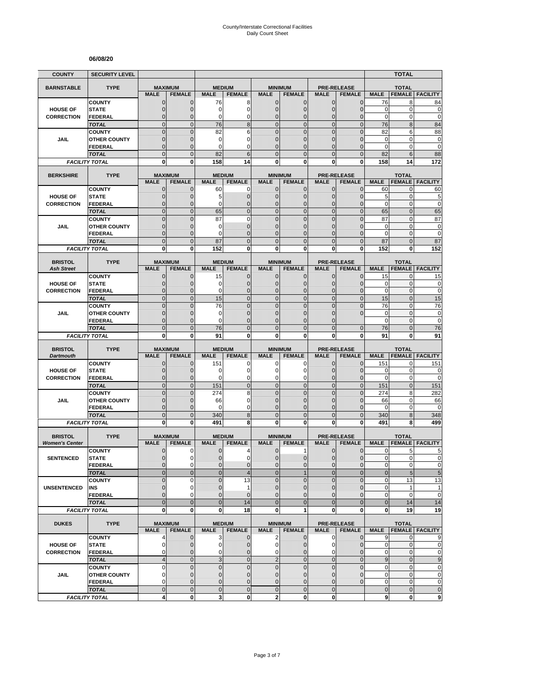#### **06/08/20**

| <b>COUNTY</b>                           | <b>SECURITY LEVEL</b>                |                                |                                 |                              |                                  |                                |                                 |                              |                                     |                        | <b>TOTAL</b>                  |                                                                                                                                                              |
|-----------------------------------------|--------------------------------------|--------------------------------|---------------------------------|------------------------------|----------------------------------|--------------------------------|---------------------------------|------------------------------|-------------------------------------|------------------------|-------------------------------|--------------------------------------------------------------------------------------------------------------------------------------------------------------|
| <b>BARNSTABLE</b>                       | <b>TYPE</b>                          | <b>MAXIMUM</b>                 |                                 | <b>MEDIUM</b>                |                                  |                                | <b>MINIMUM</b>                  |                              | <b>PRE-RELEASE</b>                  |                        | <b>TOTAL</b>                  |                                                                                                                                                              |
|                                         |                                      | <b>MALE</b>                    | <b>FEMALE</b>                   | <b>MALE</b>                  | <b>FEMALE</b>                    | <b>MALE</b>                    | <b>FEMALE</b>                   | <b>MALE</b>                  | <b>FEMALE</b>                       | <b>MALE</b>            | <b>FEMALE</b>                 | <b>FACILITY</b>                                                                                                                                              |
|                                         | <b>COUNTY</b>                        | $\mathbf 0$                    | $\mathbf{0}$                    | 76                           | 8                                | $\mathbf 0$                    | 0                               | $\mathbf{0}$                 | $\mathbf{0}$                        | 76                     | 8                             | 84                                                                                                                                                           |
| <b>HOUSE OF</b>                         | <b>STATE</b>                         | $\mathbf{0}$                   | $\mathbf 0$                     | 0                            | $\overline{0}$                   | $\mathbf 0$                    | $\overline{0}$                  | $\mathbf{0}$                 | $\overline{0}$                      | $\mathbf 0$            | $\mathbf 0$                   | $\mathbf 0$                                                                                                                                                  |
| <b>CORRECTION</b>                       | FEDERAL<br><b>TOTAL</b>              | $\mathbf 0$<br>$\mathbf 0$     | $\mathbf{0}$<br>$\mathbf{0}$    | 0<br>76                      | 0<br>8                           | $\mathbf{0}$<br>$\overline{0}$ | $\mathbf 0$<br>$\mathbf 0$      | $\mathbf 0$<br>$\mathbf{0}$  | $\overline{0}$<br>$\mathbf 0$       | $\mathbf 0$<br>76      | 0<br>8                        | $\mathbf 0$<br>84                                                                                                                                            |
|                                         | <b>COUNTY</b>                        | $\mathbf 0$                    | $\mathbf{0}$                    | 82                           | 6                                | $\overline{0}$                 | $\mathbf 0$                     | $\mathbf 0$                  | $\overline{0}$                      | 82                     | 6                             | 88                                                                                                                                                           |
| JAIL                                    | <b>OTHER COUNTY</b>                  | $\mathbf 0$                    | $\mathbf{0}$                    | 0                            | 0                                | $\mathbf{0}$                   | $\overline{0}$                  | $\mathbf 0$                  | $\overline{0}$                      | $\mathbf 0$            | $\mathbf 0$                   | $\bf{0}$                                                                                                                                                     |
|                                         | <b>FEDERAL</b>                       | $\overline{0}$                 | $\mathbf{0}$                    | 0                            | $\Omega$                         | $\Omega$                       | $\mathbf 0$                     | $\Omega$                     | $\overline{0}$                      | $\mathbf 0$            | 0                             | $\mathbf 0$                                                                                                                                                  |
|                                         | <b>TOTAL</b>                         | $\overline{0}$                 | $\Omega$                        | 82                           | 6                                | $\Omega$                       | $\overline{0}$                  | $\Omega$                     | $\overline{0}$                      | 82                     | 6                             | 88                                                                                                                                                           |
|                                         | <b>FACILITY TOTAL</b>                | 0                              | 0                               | 158                          | 14                               | $\mathbf{0}$                   | 0                               | 0                            | 0                                   | 158                    | 14                            | 172                                                                                                                                                          |
| <b>BERKSHIRE</b>                        | <b>TYPE</b>                          |                                | <b>MAXIMUM</b>                  | <b>MEDIUM</b>                |                                  |                                | <b>MINIMUM</b>                  |                              | <b>PRE-RELEASE</b>                  |                        | <b>TOTAL</b>                  |                                                                                                                                                              |
|                                         |                                      | <b>MALE</b>                    | <b>FEMALE</b>                   | <b>MALE</b>                  | <b>FEMALE</b>                    | <b>MALE</b>                    | <b>FEMALE</b>                   | <b>MALE</b>                  | <b>FEMALE</b>                       | <b>MALE</b>            | <b>FEMALE</b>                 | <b>FACILITY</b>                                                                                                                                              |
|                                         | <b>COUNTY</b>                        | $\mathbf{0}$                   | $\mathbf 0$                     | 60                           | 0                                | $\mathbf{0}$                   | $\mathbf{0}$                    | $\mathbf{0}$                 | $\mathbf 0$                         | 60                     | 0                             | 60                                                                                                                                                           |
| <b>HOUSE OF</b><br><b>CORRECTION</b>    | <b>STATE</b><br><b>FEDERAL</b>       | 0<br>$\mathbf 0$               | $\mathbf{0}$<br>$\mathbf 0$     | 5<br>0                       | $\mathbf 0$<br>$\overline{0}$    | $\mathbf{0}$<br>$\mathbf{0}$   | $\mathbf 0$<br>$\overline{0}$   | $\mathbf{0}$<br>$\mathbf{0}$ | $\mathbf{0}$<br>$\overline{0}$      | 5<br>$\mathbf 0$       | 0<br>0                        | 5<br>$\mathbf 0$                                                                                                                                             |
|                                         | <b>TOTAL</b>                         | $\overline{0}$                 | $\mathbf{0}$                    | 65                           | $\overline{0}$                   | $\overline{0}$                 | $\overline{0}$                  | $\mathbf{0}$                 | $\overline{0}$                      | 65                     | $\overline{0}$                | 65                                                                                                                                                           |
|                                         | <b>COUNTY</b>                        | $\overline{0}$                 | $\overline{0}$                  | 87                           | $\overline{0}$                   | $\mathbf 0$                    | $\overline{0}$                  | $\overline{0}$               | $\overline{0}$                      | 87                     | $\mathbf{0}$                  | 87                                                                                                                                                           |
| <b>JAIL</b>                             | <b>OTHER COUNTY</b>                  | 0                              | $\mathbf{0}$                    | 0                            | $\overline{0}$                   | $\Omega$                       | $\mathbf 0$                     | $\Omega$                     | $\mathbf{0}$                        | $\mathbf 0$            | $\mathbf{0}$                  | $\mathbf 0$                                                                                                                                                  |
|                                         | <b>FEDERAL</b>                       | $\mathbf 0$                    | $\mathbf{0}$                    | 0                            | $\overline{0}$                   | $\mathbf{0}$                   | $\overline{0}$                  | $\mathbf 0$                  | $\overline{0}$                      | $\mathbf 0$            | $\mathbf{0}$                  | $\mathbf 0$                                                                                                                                                  |
|                                         | <b>TOTAL</b>                         | $\mathbf 0$                    | $\mathbf{0}$                    | 87                           | $\overline{0}$                   | $\mathbf{0}$                   | $\mathbf 0$                     | $\mathbf{0}$                 | $\mathbf 0$                         | 87                     | $\overline{0}$                | 87                                                                                                                                                           |
|                                         | <b>FACILITY TOTAL</b>                | 0                              | $\mathbf{0}$                    | 152                          | 0                                | 0                              | $\bf{0}$                        | 0                            | 0                                   | 152                    | 0                             | 152                                                                                                                                                          |
| <b>BRISTOL</b>                          | <b>TYPE</b>                          | <b>MAXIMUM</b>                 |                                 | <b>MEDIUM</b>                |                                  |                                | <b>MINIMUM</b>                  |                              | <b>PRE-RELEASE</b>                  |                        | <b>TOTAL</b>                  |                                                                                                                                                              |
| <b>Ash Street</b>                       |                                      | <b>MALE</b>                    | <b>FEMALE</b>                   | <b>MALE</b>                  | <b>FEMALE</b>                    | <b>MALE</b>                    | <b>FEMALE</b>                   | <b>MALE</b>                  | <b>FEMALE</b>                       | <b>MALE</b>            | <b>FEMALE</b>                 | <b>FACILITY</b>                                                                                                                                              |
|                                         | <b>COUNTY</b>                        | 0                              | $\mathbf{0}$                    | 15                           | $\mathbf 0$                      | $\mathbf 0$                    | 0                               | $\mathbf{0}$                 | $\mathbf{0}$                        | 15                     | 0                             | 15                                                                                                                                                           |
| <b>HOUSE OF</b>                         | <b>STATE</b>                         | $\mathbf{0}$                   | $\mathbf{0}$                    | 0                            | $\mathbf 0$                      | $\mathbf{0}$                   | $\mathbf{0}$                    | $\mathbf{0}$                 | $\mathbf{0}$                        | 0                      | 0                             | $\pmb{0}$                                                                                                                                                    |
| <b>CORRECTION</b>                       | <b>FEDERAL</b>                       | $\mathbf{0}$<br>$\overline{0}$ | $\mathbf{0}$<br>$\mathbf{0}$    | 0                            | $\overline{0}$<br>$\overline{0}$ | $\mathbf{0}$<br>$\mathbf 0$    | $\mathbf{0}$<br>$\overline{0}$  | $\mathbf{0}$<br>$\mathbf{0}$ | $\overline{0}$<br>$\overline{0}$    | $\mathbf 0$            | 0<br>$\overline{0}$           | $\mathbf 0$<br>15                                                                                                                                            |
|                                         | <b>TOTAL</b><br><b>COUNTY</b>        | $\overline{0}$                 | $\Omega$                        | 15<br>76                     | $\overline{0}$                   | $\mathbf 0$                    | $\overline{0}$                  | $\overline{0}$               | $\overline{0}$                      | 15<br>76               | $\overline{0}$                | 76                                                                                                                                                           |
| JAIL                                    | <b>OTHER COUNTY</b>                  | $\mathbf 0$                    | $\mathbf 0$                     | 0                            | $\overline{0}$                   | $\mathbf{0}$                   | $\overline{0}$                  | $\mathbf 0$                  | $\overline{0}$                      | $\mathbf 0$            | $\mathbf{0}$                  | $\mathbf 0$                                                                                                                                                  |
|                                         | FEDERAL                              | $\overline{0}$                 | $\mathbf{0}$                    | 0                            | $\overline{0}$                   | $\Omega$                       | $\mathbf 0$                     | $\Omega$                     |                                     | $\mathbf 0$            | 0                             | $\mathbf 0$                                                                                                                                                  |
|                                         | <b>TOTAL</b>                         | $\overline{0}$                 | $\mathbf{0}$                    | 76                           | $\overline{0}$                   | $\overline{0}$                 | $\overline{0}$                  | $\overline{0}$               | $\mathbf{0}$                        | 76                     | $\overline{0}$                | 76                                                                                                                                                           |
|                                         | <b>FACILITY TOTAL</b>                | 0                              |                                 |                              | 0                                | 0                              |                                 |                              |                                     | 91                     | 0                             | 91                                                                                                                                                           |
|                                         |                                      |                                | 0                               | 91                           |                                  |                                | 0                               | 0                            | 0                                   |                        |                               |                                                                                                                                                              |
| <b>BRISTOL</b>                          | <b>TYPE</b>                          |                                |                                 | <b>MEDIUM</b>                |                                  |                                |                                 |                              |                                     |                        |                               |                                                                                                                                                              |
| <b>Dartmouth</b>                        |                                      | <b>MAXIMUM</b><br><b>MALE</b>  | <b>FEMALE</b>                   | <b>MALE</b>                  | <b>FEMALE</b>                    | <b>MALE</b>                    | <b>MINIMUM</b><br><b>FEMALE</b> | <b>MALE</b>                  | <b>PRE-RELEASE</b><br><b>FEMALE</b> | <b>MALE</b>            | <b>TOTAL</b><br><b>FEMALE</b> | <b>FACILITY</b>                                                                                                                                              |
|                                         | <b>COUNTY</b>                        | $\mathbf 0$                    | $\mathbf 0$                     | 151                          | 0                                | 0                              | 0                               | $\mathbf 0$                  | $\overline{0}$                      | 151                    | 0                             | 151                                                                                                                                                          |
| <b>HOUSE OF</b>                         | <b>STATE</b>                         | $\mathbf 0$                    | $\mathbf{0}$                    | 0                            | $\overline{0}$                   | $\Omega$                       | 0                               | $\Omega$                     | $\mathbf{0}$                        | 0                      | $\mathbf 0$                   | 0                                                                                                                                                            |
| <b>CORRECTION</b>                       | <b>FEDERAL</b>                       | $\mathbf 0$                    | $\mathbf{0}$                    | 0                            | 0                                | $\mathbf 0$                    | 0                               | $\mathbf 0$                  | $\mathbf{0}$                        | $\mathbf 0$            | 0                             |                                                                                                                                                              |
|                                         | <b>TOTAL</b>                         | $\overline{0}$                 | $\mathbf{0}$                    | 151                          | $\mathbf 0$                      | $\overline{0}$                 | $\mathbf 0$                     | $\mathbf{0}$                 | $\overline{0}$                      | 151                    | $\overline{0}$                | 151                                                                                                                                                          |
| JAIL                                    | <b>COUNTY</b><br><b>OTHER COUNTY</b> | $\mathbf 0$<br>$\overline{0}$  | $\mathbf{0}$<br>$\mathbf{0}$    | 274<br>66                    | 8<br>$\overline{0}$              | $\mathbf 0$<br>$\mathbf{0}$    | $\mathbf 0$<br>$\overline{0}$   | $\mathbf{0}$<br>$\Omega$     | $\mathbf 0$<br>$\overline{0}$       | 274<br>66              | 8<br>0                        | 282                                                                                                                                                          |
|                                         | FEDERAL                              | $\mathbf 0$                    | $\mathbf{0}$                    | 0                            | 0                                | $\mathbf{0}$                   | 0                               | $\mathbf{0}$                 | 0                                   | 0                      | 0                             | 66<br>$\mathbf 0$                                                                                                                                            |
|                                         | <b>TOTAL</b>                         | $\mathbf 0$                    | $\overline{0}$                  | 340                          | 8                                | $\mathbf 0$                    | $\mathbf 0$                     | $\overline{0}$               | $\mathbf 0$                         | 340                    | 8                             | 348                                                                                                                                                          |
|                                         | <b>FACILITY TOTAL</b>                | $\mathbf{0}$                   | $\mathbf{0}$                    | 491                          | 8                                | $\mathbf{0}$                   | $\bf{0}$                        | 0                            | 0                                   | 491                    | 8                             | 499                                                                                                                                                          |
|                                         |                                      |                                |                                 |                              |                                  |                                |                                 |                              |                                     |                        |                               |                                                                                                                                                              |
| <b>BRISTOL</b><br><b>Women's Center</b> | <b>TYPE</b>                          | <b>MALE</b>                    | <b>MAXIMUM</b><br><b>FEMALE</b> | <b>MEDIUM</b><br><b>MALE</b> | <b>FEMALE</b>                    | <b>MALE</b>                    | <b>MINIMUM</b><br><b>FEMALE</b> | <b>MALE</b>                  | <b>PRE-RELEASE</b><br><b>FEMALE</b> | <b>MALE</b>            | <b>TOTAL</b><br><b>FEMALE</b> | <b>FACILITY</b>                                                                                                                                              |
|                                         | <b>COUNTY</b>                        | 0                              | 0                               | 0                            | 4                                | $\mathbf 0$                    | 1                               | 0                            | $\mathbf 0$                         | 0                      | 5                             | 5                                                                                                                                                            |
| <b>SENTENCED</b>                        | <b>STATE</b>                         | $\overline{0}$                 | $\Omega$                        | $\overline{0}$               | $\Omega$                         | $\overline{0}$                 | $\mathbf 0$                     | $\mathbf{0}$                 | $\mathbf 0$                         | $\mathbf{0}$           | $\overline{0}$                |                                                                                                                                                              |
|                                         | <b>FEDERAL</b>                       | 0                              | $\mathbf 0$                     | 0                            | $\mathbf 0$                      | $\mathbf{0}$                   | $\mathbf 0$                     | $\mathbf 0$                  | $\mathbf 0$                         | $\pmb{0}$              | 0                             |                                                                                                                                                              |
|                                         | <b>TOTAL</b>                         | $\mathbf 0$                    | $\mathbf{0}$                    | $\mathbf 0$                  | $\overline{\mathcal{A}}$         | $\mathbf{0}$                   | $\mathbf{1}$                    | $\mathbf{0}$                 | $\mathbf 0$                         | $\bf 0$                | $\overline{5}$                |                                                                                                                                                              |
|                                         | <b>COUNTY</b>                        | $\mathbf 0$                    | 0                               | $\overline{0}$               | 13                               | $\Omega$                       | $\mathbf 0$                     | $\mathbf 0$                  | $\overline{0}$                      | $\pmb{0}$              | 13                            |                                                                                                                                                              |
| <b>UNSENTENCED</b>                      | INS<br><b>FEDERAL</b>                | 0<br>$\overline{0}$            | $\mathbf 0$<br>$\Omega$         | $\pmb{0}$<br>$\overline{0}$  | 1<br>$\mathbf{0}$                | $\mathbf 0$<br>$\mathbf{0}$    | 0<br>$\overline{0}$             | $\mathbf{0}$<br>$\mathbf{0}$ | $\mathbf 0$<br>$\overline{0}$       | $\pmb{0}$<br>$\pmb{0}$ | 1<br>$\pmb{0}$                | $\mathbf{1}$                                                                                                                                                 |
|                                         | <b>TOTAL</b>                         | $\overline{0}$                 | $\mathbf{0}$                    | $\mathbf 0$                  | 14                               | $\overline{0}$                 | $\overline{0}$                  | $\overline{0}$               | $\mathbf 0$                         | $\bf 0$                | 14                            | $\mathbf 0$<br>14                                                                                                                                            |
|                                         | <b>FACILITY TOTAL</b>                | 0                              | $\mathbf{0}$                    | 0                            | 18                               | 0                              | 1                               | $\mathbf 0$                  | 0                                   | 0                      | 19                            |                                                                                                                                                              |
|                                         |                                      |                                |                                 |                              |                                  |                                |                                 |                              |                                     |                        |                               |                                                                                                                                                              |
| <b>DUKES</b>                            | <b>TYPE</b>                          | <b>MALE</b>                    | <b>MAXIMUM</b><br><b>FEMALE</b> | <b>MALE</b>                  | <b>MEDIUM</b><br><b>FEMALE</b>   | <b>MALE</b>                    | <b>MINIMUM</b><br><b>FEMALE</b> | <b>MALE</b>                  | <b>PRE-RELEASE</b><br><b>FEMALE</b> | <b>MALE</b>            | <b>TOTAL</b>                  | 19<br><b>FEMALE FACILITY</b>                                                                                                                                 |
|                                         | <b>COUNTY</b>                        | 4                              | $\mathbf{0}$                    | 3                            | $\mathbf 0$                      | $\overline{2}$                 | $\mathbf{0}$                    | $\mathbf 0$                  | $\overline{0}$                      | 9                      | $\mathbf{0}$                  |                                                                                                                                                              |
| <b>HOUSE OF</b>                         | <b>STATE</b>                         | 0                              | 0                               | 0                            | $\mathbf 0$                      | $\overline{0}$                 | 0                               | 0                            | $\mathbf 0$                         | 0                      | 0                             |                                                                                                                                                              |
| <b>CORRECTION</b>                       | <b>FEDERAL</b>                       | 0                              | $\mathbf{0}$                    | 0                            | $\mathbf 0$                      | $\mathbf 0$                    | $\mathbf 0$                     | $\mathbf 0$                  | $\overline{0}$                      | 0                      | 0                             |                                                                                                                                                              |
|                                         | <b>TOTAL</b>                         | $\overline{4}$                 | $\mathbf 0$                     | $\overline{3}$               | $\mathbf 0$                      | $\overline{2}$                 | $\mathbf 0$                     | $\mathbf 0$                  | $\mathbf 0$                         | $9\,$                  | $\mathbf 0$                   |                                                                                                                                                              |
|                                         | <b>COUNTY</b>                        | 0                              | $\mathbf 0$                     | $\pmb{0}$                    | $\mathbf 0$                      | $\mathbf 0$                    | $\mathbf 0$                     | $\mathbf 0$                  | $\mathbf 0$                         | 0                      | $\pmb{0}$                     |                                                                                                                                                              |
| JAIL                                    | <b>OTHER COUNTY</b>                  | $\overline{0}$                 | $\mathbf{0}$                    | $\mathbf 0$                  | $\overline{0}$                   | $\mathbf{0}$                   | $\mathbf{0}$                    | $\mathbf{0}$                 | $\mathbf{0}$                        | $\mathbf 0$            | 0                             |                                                                                                                                                              |
|                                         | <b>FEDERAL</b><br><b>TOTAL</b>       | 0<br>$\mathbf 0$               | $\mathbf 0$<br>$\mathbf 0$      | 0<br>$\pmb{0}$               | 0<br>$\mathbf 0$                 | $\mathbf 0$<br>$\mathbf 0$     | 0<br>$\mathbf 0$                | $\mathbf 0$<br>$\mathbf 0$   | $\mathbf 0$                         | 0<br>$\pmb{0}$         | $\pmb{0}$<br>$\mathbf 0$      | 0<br>$\pmb{0}$<br>$\overline{5}$<br>13<br>$\mathbf 0$<br>9<br>$\mathbf 0$<br>$\pmb{0}$<br>$\overline{9}$<br>$\pmb{0}$<br>$\pmb{0}$<br>$\pmb{0}$<br>$\pmb{0}$ |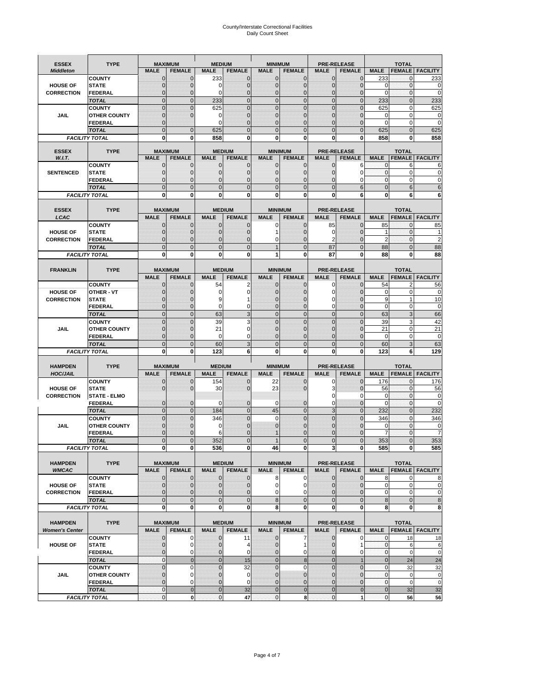# County/Interstate Correctional Facilities Daily Count Sheet

| <b>ESSEX</b>                         | <b>TYPE</b>                           |                                  | <b>MAXIMUM</b>                 | <b>MEDIUM</b>                  |                               | <b>MINIMUM</b>               |                                  |                               | <b>PRE-RELEASE</b>            |                            | <b>TOTAL</b>                 |                               |
|--------------------------------------|---------------------------------------|----------------------------------|--------------------------------|--------------------------------|-------------------------------|------------------------------|----------------------------------|-------------------------------|-------------------------------|----------------------------|------------------------------|-------------------------------|
| <b>Middleton</b>                     |                                       | <b>MALE</b>                      | <b>FEMALE</b>                  | <b>MALE</b>                    | <b>FEMALE</b>                 | <b>MALE</b>                  | <b>FEMALE</b>                    | <b>MALE</b>                   | <b>FEMALE</b>                 | <b>MALE</b>                |                              | <b>FEMALE FACILITY</b>        |
|                                      | <b>COUNTY</b>                         | 0                                | $\mathbf 0$                    | 233                            | 0                             | $\mathbf{0}$                 | $\mathbf{0}$                     | $\mathbf{0}$                  | $\Omega$                      | 233                        | 0                            | 233                           |
| <b>HOUSE OF</b>                      | <b>STATE</b>                          | 0                                | $\mathbf 0$                    | $\Omega$                       | 0                             | $\mathbf 0$                  | $\mathbf{0}$                     | $\mathbf{0}$                  | $\Omega$                      | $\Omega$                   | $\mathbf{0}$                 | 0                             |
| <b>CORRECTION</b>                    | <b>FEDERAL</b>                        | $\Omega$<br>$\mathbf 0$          | $\mathbf 0$<br>$\overline{0}$  | $\Omega$                       | $\overline{0}$<br>$\mathbf 0$ | $\mathbf{0}$<br>$\mathbf{0}$ | $\mathbf{0}$<br>$\mathbf{0}$     | $\mathbf{0}$<br>$\mathbf 0$   | $\Omega$<br>$\overline{0}$    | $\Omega$<br>233            | $\mathbf{0}$<br>$\mathbf{0}$ | $\mathbf 0$<br>233            |
|                                      | <b>TOTAL</b><br><b>COUNTY</b>         | $\mathbf 0$                      | $\mathbf{0}$                   | 233<br>625                     | 0                             | $\mathbf{0}$                 | $\mathbf 0$                      | $\mathbf{0}$                  | $\mathbf 0$                   | 625                        | 0                            | 625                           |
| JAIL                                 | <b>OTHER COUNTY</b>                   | $\mathbf{0}$                     | $\mathbf 0$                    | 0                              | 0                             | $\mathbf{0}$                 | $\Omega$                         | $\mathbf{0}$                  | ſ                             | $\Omega$                   | $\Omega$                     | 0                             |
|                                      | <b>FEDERAL</b>                        | $\mathbf{0}$                     |                                | $\Omega$                       | $\Omega$                      | $\mathbf 0$                  | $\mathbf 0$                      | $\mathbf{0}$                  | $\mathbf 0$                   | $\mathbf 0$                | 0                            | $\mathbf 0$                   |
|                                      | <b>TOTAL</b>                          | $\Omega$                         | $\mathbf 0$                    | 625                            | $\Omega$                      | $\mathbf{0}$                 | $\Omega$                         | $\overline{0}$                | $\Omega$                      | 625                        | $\Omega$                     | 625                           |
|                                      | <b>FACILITY TOTAL</b>                 | 0                                | 0                              | 858                            | O                             | $\bf{0}$                     | 0                                | 0                             | 0                             | 858                        | 0                            | 858                           |
| <b>ESSEX</b>                         | <b>TYPE</b>                           |                                  | <b>MAXIMUM</b>                 |                                | <b>MEDIUM</b>                 |                              | <b>MINIMUM</b>                   |                               | <b>PRE-RELEASE</b>            |                            | <b>TOTAL</b>                 |                               |
| W.I.T.                               |                                       | <b>MALE</b>                      | <b>FEMALE</b>                  | <b>MALE</b>                    | <b>FEMALE</b>                 | <b>MALE</b>                  | <b>FEMALE</b>                    | <b>MALE</b>                   | <b>FEMALE</b>                 | <b>MALE</b>                | <b>FEMALE</b>                | <b>FACILITY</b>               |
|                                      | <b>COUNTY</b>                         | $\mathbf{0}$                     | 0                              | $\mathbf 0$                    | $\mathbf{0}$                  | $\mathbf{0}$                 | $\mathbf{0}$                     | 0                             | 6                             | 0                          | 6                            | 6                             |
| <b>SENTENCED</b>                     | <b>STATE</b>                          | 0                                | $\overline{0}$                 | $\mathbf{0}$                   | 0                             | $\mathbf{0}$                 | $\mathbf{0}$                     | $\mathbf 0$                   | 0                             | $\mathbf{0}$               | $\mathbf 0$                  | 0                             |
|                                      | <b>FEDERAL</b><br><b>TOTAL</b>        | $\overline{0}$<br>$\overline{0}$ | $\mathbf 0$<br>$\overline{0}$  | $\Omega$<br>$\mathbf 0$        | 0<br>$\overline{0}$           | $\mathbf{0}$<br>$\mathbf{0}$ | $\Omega$<br>$\overline{0}$       | $\mathbf 0$<br>$\overline{0}$ | 0<br>6                        | $\Omega$<br>$\mathbf{0}$   | $\mathbf 0$<br>6             | 0<br>6                        |
|                                      | <b>FACILITY TOTAL</b>                 | $\bf{0}$                         | 0                              | $\bf{0}$                       | O                             | $\bf{0}$                     | 0                                | 0                             | 6                             | $\bf{0}$                   | 6                            | 6                             |
|                                      |                                       |                                  |                                |                                |                               |                              |                                  |                               |                               |                            |                              |                               |
| <b>ESSEX</b>                         | <b>TYPE</b>                           |                                  | <b>MAXIMUM</b>                 |                                | <b>MEDIUM</b>                 |                              | <b>MINIMUM</b>                   |                               | <b>PRE-RELEASE</b>            |                            | <b>TOTAL</b>                 |                               |
| LCAC                                 |                                       | <b>MALE</b>                      | <b>FEMALE</b>                  | <b>MALE</b>                    | <b>FEMALE</b>                 | <b>MALE</b>                  | <b>FEMALE</b>                    | <b>MALE</b>                   | <b>FEMALE</b>                 | <b>MALE</b>                | <b>FEMALE</b>                | <b>FACILITY</b>               |
|                                      | <b>COUNTY</b>                         | 0                                | $\mathbf 0$                    | $\mathbf{0}$                   | 0                             | 0                            | $\mathbf{0}$                     | 85                            | $\Omega$                      | 85                         | $\mathbf 0$                  | 85                            |
| <b>HOUSE OF</b>                      | <b>STATE</b>                          | $\Omega$                         | $\mathbf 0$<br>$\overline{0}$  | $\Omega$                       | 0<br>0                        | 1                            | $\Omega$                         | 0<br>$\overline{2}$           | $\sqrt{ }$<br>$\mathcal{C}$   | 1<br>$\overline{2}$        | $\Omega$<br>$\mathbf{0}$     |                               |
| <b>CORRECTION</b>                    | <b>FEDERAL</b><br><b>TOTAL</b>        | 0<br>$\overline{0}$              | $\overline{0}$                 | $\mathbf{0}$<br>$\overline{0}$ | $\overline{0}$                | 0<br>$\overline{1}$          | $\overline{0}$<br>$\overline{0}$ | 87                            | $\overline{0}$                | 88                         | $\Omega$                     | $\overline{\mathbf{c}}$<br>88 |
|                                      | <b>FACILITY TOTAL</b>                 | 0                                | 0                              | 0                              | 0                             | 1                            | 0                                | 87                            | 0                             | 88                         | 0                            | 88                            |
|                                      |                                       |                                  |                                |                                |                               |                              |                                  |                               |                               |                            |                              |                               |
| <b>FRANKLIN</b>                      | <b>TYPE</b>                           |                                  | <b>MAXIMUM</b>                 |                                | <b>MEDIUM</b>                 |                              | <b>MINIMUM</b>                   |                               | <b>PRE-RELEASE</b>            |                            | <b>TOTAL</b>                 |                               |
|                                      |                                       | <b>MALE</b>                      | <b>FEMALE</b>                  | <b>MALE</b>                    | <b>FEMALE</b>                 | <b>MALE</b>                  | <b>FEMALE</b>                    | <b>MALE</b>                   | <b>FEMALE</b>                 | <b>MALE</b>                | <b>FEMALE</b>                | <b>FACILITY</b>               |
|                                      | <b>COUNTY</b>                         | 0                                | 0                              | 54                             | 2                             | $\mathbf{0}$                 | 0                                | 0                             | $\Omega$                      | 54                         | $\overline{2}$               | 56                            |
| <b>HOUSE OF</b><br><b>CORRECTION</b> | <b>OTHER - VT</b><br><b>STATE</b>     | 0<br>0                           | $\overline{0}$<br>$\mathbf 0$  | 0<br>9                         | 0                             | $\mathbf 0$<br>$\mathbf{0}$  | $\Omega$<br>$\Omega$             | $\mathbf 0$<br>0              | $\sqrt{ }$<br>$\sqrt{ }$      | 0<br>9                     | $\mathbf 0$<br>$\mathbf{1}$  | 0<br>10                       |
|                                      | <b>FEDERAL</b>                        | $\mathbf{0}$                     | $\overline{0}$                 | $\Omega$                       | 0                             | $\mathbf{0}$                 | $\mathbf{0}$                     | 0                             | $\overline{0}$                | $\mathbf 0$                | $\mathbf 0$                  | $\mathbf 0$                   |
|                                      | <b>TOTAL</b>                          | $\mathbf 0$                      | $\mathbf{0}$                   | 63                             | 3                             | $\mathbf{0}$                 | $\overline{0}$                   | $\overline{0}$                | $\overline{0}$                | 63                         | 3                            | 66                            |
|                                      | <b>COUNTY</b>                         | $\mathbf 0$                      | $\mathbf 0$                    | 39                             | 3                             | $\mathbf 0$                  | $\mathbf 0$                      | $\mathbf{0}$                  | $\overline{0}$                | 39                         | 3                            | 42                            |
| <b>JAIL</b>                          | <b>OTHER COUNTY</b>                   | $\overline{0}$                   | $\mathbf 0$                    | 21                             | 0                             | $\Omega$                     | $\Omega$                         | $\mathbf 0$                   | $\sqrt{ }$                    | 21                         | $\Omega$                     | $\overline{21}$               |
|                                      | <b>FEDERAL</b>                        | $\overline{0}$                   | $\overline{0}$                 | 0                              | 0                             | $\mathbf{0}$                 | $\mathbf 0$                      | $\mathbf{0}$                  | $\mathbf 0$                   | $\mathbf 0$                | $\mathbf 0$                  | $\mathbf 0$                   |
|                                      | <b>TOTAL</b><br><b>FACILITY TOTAL</b> | $\mathbf 0$<br>0                 | $\mathbf 0$<br>0               | 60<br>123                      | 3<br>6                        | $\mathbf{0}$<br>$\bf{0}$     | $\overline{0}$<br>0              | $\mathbf 0$<br>0              | $\Omega$<br>0                 | 60<br>123                  | 3<br>6                       | 63<br>129                     |
|                                      |                                       |                                  |                                |                                |                               |                              |                                  |                               |                               |                            |                              |                               |
| <b>HAMPDEN</b>                       | <b>TYPE</b>                           |                                  | <b>MAXIMUM</b>                 | <b>MEDIUM</b>                  |                               | <b>MINIMUM</b>               |                                  |                               | <b>PRE-RELEASE</b>            |                            | <b>TOTAL</b>                 |                               |
| <b>HOC/JAIL</b>                      |                                       | <b>MALE</b>                      | <b>FEMALE</b>                  | <b>MALE</b>                    | <b>FEMALE</b>                 | <b>MALE</b>                  | <b>FEMALE</b>                    | <b>MALE</b>                   | <b>FEMALE</b>                 | <b>MALE</b>                | <b>FEMALE</b>                | <b>FACILITY</b>               |
|                                      | <b>COUNTY</b>                         | $\mathbf{0}$                     | 0                              | 154                            | 0                             | 22                           | $\mathbf 0$                      | 0                             | $\Omega$                      | 176                        | $\mathbf 0$                  | 176                           |
| <b>HOUSE OF</b><br><b>CORRECTION</b> | <b>STATE</b><br><b>STATE - ELMO</b>   | $\Omega$                         | $\overline{0}$                 | 30                             | 0                             | 23                           | $\Omega$                         | 3<br>0                        | $\sqrt{ }$<br>$\Omega$        | 56<br>0                    | $\mathbf{0}$<br>$\mathbf{0}$ | 56<br>0                       |
|                                      | <b>FEDERAL</b>                        | $\mathbf{0}$                     | $\mathbf 0$                    | 0                              | 0                             | 0                            | $\mathbf 0$                      | $\mathbf 0$                   | $\overline{0}$                | $\Omega$                   | $\mathbf 0$                  | $\mathbf 0$                   |
|                                      | <b>TOTAL</b>                          | $\mathbf{0}$                     | $\overline{0}$                 | 184                            | $\overline{0}$                | 45                           | $\mathbf{0}$                     | 3                             | $\Omega$                      | 232                        | $\mathbf{0}$                 | 232                           |
|                                      | <b>COUNTY</b>                         | $\Omega$                         | $\overline{0}$                 | 346                            | $\overline{0}$                | $\Omega$                     | $\Omega$                         | $\overline{0}$                | $\Omega$                      | 346                        | $\Omega$                     | 346                           |
| JAIL                                 | <b>OTHER COUNTY</b>                   | 0                                | $\mathbf 0$                    | 0                              | 0                             | $\mathbf{0}$                 | $\Omega$                         | $\mathbf 0$                   | $\Omega$                      | $\mathbf 0$                | $\mathbf{0}$                 | $\mathbf 0$                   |
|                                      | <b>FEDERAL</b>                        | $\Omega$                         | $\Omega$                       | 6                              | O                             |                              | $\Omega$                         | $\mathbf 0$                   | $\Omega$                      | 7                          | $\Omega$                     | 7                             |
|                                      | <b>TOTAL</b>                          | $\overline{0}$                   | $\sqrt{ }$                     | 352                            | $\overline{0}$                |                              | $\Omega$                         | $\overline{0}$                |                               | 353                        |                              | 353                           |
|                                      | <b>FACILITY TOTAL</b>                 | $\mathbf{0}$                     | 0                              | 536                            | 0                             | 46                           | 0                                | 3                             | $\boldsymbol{0}$              | 585                        | 0                            | 585                           |
| <b>HAMPDEN</b>                       | <b>TYPE</b>                           |                                  | <b>MAXIMUM</b>                 |                                | <b>MEDIUM</b>                 |                              | <b>MINIMUM</b>                   |                               | PRE-RELEASE                   |                            | <b>TOTAL</b>                 |                               |
| <b>WMCAC</b>                         |                                       | <b>MALE</b>                      | <b>FEMALE</b>                  | <b>MALE</b>                    | <b>FEMALE</b>                 | <b>MALE</b>                  | <b>FEMALE</b>                    | <b>MALE</b>                   | <b>FEMALE</b>                 | <b>MALE</b>                |                              | <b>FEMALE FACILITY</b>        |
|                                      | <b>COUNTY</b>                         | 0                                | $\mathbf 0$                    | $\mathbf{0}$                   | 0                             | 8                            | 0                                | $\mathbf 0$                   | $\mathbf 0$                   | 8                          | 0                            | 8                             |
| <b>HOUSE OF</b>                      | <b>STATE</b>                          | 0                                | $\mathbf{0}$<br>$\overline{0}$ | $\overline{0}$                 | 0                             | $\mathbf 0$<br>$\mathbf 0$   | 0                                | $\mathbf{0}$                  | $\mathbf{0}$                  | $\mathbf 0$<br>$\mathbf 0$ | $\mathbf 0$<br>$\mathbf 0$   | $\pmb{0}$                     |
| <b>CORRECTION</b>                    | <b>FEDERAL</b><br><b>TOTAL</b>        | 0<br>$\mathbf 0$                 | $\mathbf 0$                    | $\overline{0}$<br>$\mathbf{0}$ | 0<br>$\mathbf 0$              | $\infty$                     | 0<br>$\mathbf 0$                 | 0<br>$\mathbf 0$              | $\overline{0}$<br>$\mathbf 0$ | 8                          | $\mathbf 0$                  | $\pmb{0}$<br>8                |
|                                      | <b>FACILITY TOTAL</b>                 | 0                                | 0                              | $\mathbf{0}$                   | 0                             | 8                            | 0                                | 0                             | $\mathbf 0$                   | 8                          | $\mathbf 0$                  | 8                             |
|                                      |                                       |                                  |                                |                                |                               |                              |                                  |                               |                               |                            |                              |                               |
| <b>HAMPDEN</b>                       | <b>TYPE</b>                           |                                  | <b>MAXIMUM</b>                 |                                | <b>MEDIUM</b>                 |                              | <b>MINIMUM</b>                   |                               | <b>PRE-RELEASE</b>            |                            | <b>TOTAL</b>                 |                               |
| <b>Women's Center</b>                |                                       | <b>MALE</b>                      | <b>FEMALE</b>                  | <b>MALE</b>                    | <b>FEMALE</b>                 | <b>MALE</b>                  | <b>FEMALE</b>                    | <b>MALE</b>                   | <b>FEMALE</b>                 | <b>MALE</b>                |                              | <b>FEMALE FACILITY</b>        |
| <b>HOUSE OF</b>                      | <b>COUNTY</b>                         | 0<br>$\mathbf{0}$                | 0<br>$\mathbf 0$               | 0                              | 11                            | $\bf{0}$<br>$\mathbf{0}$     | 7<br>1                           | 0<br>$\mathbf 0$              | 0<br>1                        | 0<br>$\mathbf{0}$          | 18                           | <u>18</u>                     |
|                                      | <b>STATE</b><br><b>FEDERAL</b>        | 0                                | 0                              | $\mathbf 0$<br>0               | 4<br>0                        | $\mathbf 0$                  | 0                                | $\mathbf{0}$                  | 0                             | $\mathbf 0$                | 6<br>$\mathbf 0$             | 6<br>$\mathbf 0$              |
|                                      | <b>TOTAL</b>                          | $\mathbf{0}$                     | $\mathbf{0}$                   | $\overline{0}$                 | 15                            | $\overline{0}$               | 8                                | $\mathbf{0}$                  | $\overline{1}$                | $\overline{0}$             | 24                           | 24                            |
|                                      | <b>COUNTY</b>                         | $\mathbf 0$                      | $\mathbf 0$                    | $\Omega$                       | 32                            | $\mathbf{0}$                 | $\Omega$                         | $\overline{0}$                | $\overline{0}$                | $\mathbf 0$                | 32                           | 32                            |
| JAIL                                 | <b>OTHER COUNTY</b>                   | $\overline{0}$                   | 0                              | $\mathbf{0}$                   | $\mathbf 0$                   | $\mathbf{0}$                 | $\mathbf{0}$                     | $\mathbf{0}$                  | $\Omega$                      | $\mathbf 0$                | $\mathbf 0$                  | 0                             |
|                                      |                                       |                                  |                                | $\mathbf{0}$                   |                               |                              |                                  |                               | $\overline{0}$                |                            |                              | $\pmb{0}$                     |
|                                      | <b>FEDERAL</b>                        | 0                                | 0                              |                                | 0                             | $\mathbf 0$                  | $\mathbf{0}$                     | 0                             |                               | $\mathbf 0$                | $\mathbf 0$                  |                               |
|                                      | <b>TOTAL</b><br><b>FACILITY TOTAL</b> | $\mathbf{0}$<br>0                | $\mathbf 0$<br>0               | $\overline{0}$<br>$\pmb{0}$    | 32<br>47                      | $\bf{0}$<br>$\mathbf 0$      | $\mathbf 0$<br>8                 | $\bf{0}$<br>$\mathbf{0}$      | $\pmb{0}$<br>1                | $\mathbf{0}$<br>$\pmb{0}$  | 32<br>56                     | 32<br>56                      |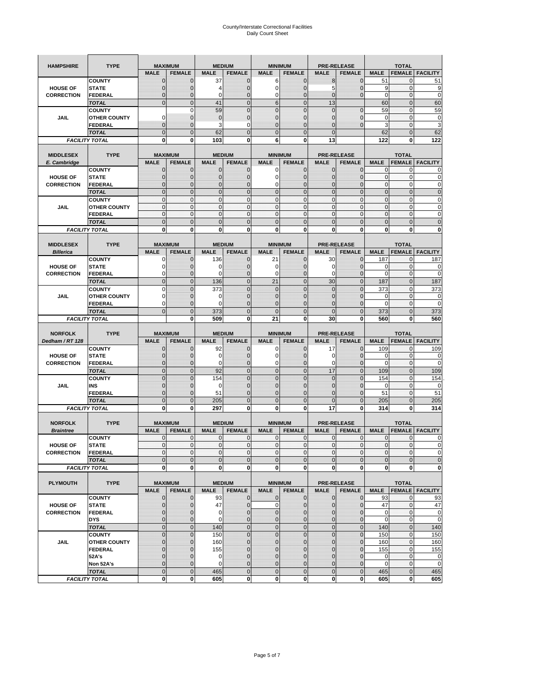| <b>HAMPSHIRE</b>                     | <b>TYPE</b>                   |                             | <b>MAXIMUM</b>                  |                            | <b>MEDIUM</b>                  |                               | <b>MINIMUM</b>                   | <b>PRE-RELEASE</b>                |                            |                            | <b>TOTAL</b>                  |                          |
|--------------------------------------|-------------------------------|-----------------------------|---------------------------------|----------------------------|--------------------------------|-------------------------------|----------------------------------|-----------------------------------|----------------------------|----------------------------|-------------------------------|--------------------------|
|                                      |                               | <b>MALE</b>                 | <b>FEMALE</b>                   | <b>MALE</b>                | <b>FEMALE</b>                  | <b>MALE</b>                   | <b>FEMALE</b>                    | <b>MALE</b>                       | <b>FEMALE</b>              | <b>MALE</b>                | <b>FEMALE</b>                 | <b>FACILITY</b>          |
|                                      | <b>COUNTY</b>                 | $\mathbf{0}$                | $\mathbf 0$                     | 37                         | $\mathbf 0$                    | 6                             | $\mathbf{0}$                     | 8                                 | $\overline{0}$             | 51                         | 0                             | 51                       |
| <b>HOUSE OF</b>                      | <b>STATE</b>                  | $\mathbf 0$                 | 0                               | 4                          | 0                              | $\mathbf 0$                   | $\overline{0}$                   | 5                                 | $\mathbf 0$                | 9                          | $\mathbf{0}$                  | 9                        |
| <b>CORRECTION</b>                    | FEDERAL                       | $\mathbf 0$                 | $\mathbf 0$                     | 0                          | $\mathbf 0$                    | $\mathbf 0$                   | $\mathbf 0$                      | $\mathbf{0}$                      | $\overline{0}$             | $\mathbf 0$                | $\mathbf{0}$                  | 0                        |
|                                      | <b>TOTAL</b>                  | $\mathbf{0}$                | $\overline{0}$                  | 41                         | $\mathbf 0$                    | $6\phantom{1}$                | $\overline{0}$                   | 13                                |                            | 60                         | $\pmb{0}$                     | 60                       |
|                                      | <b>COUNTY</b>                 |                             | $\mathbf 0$                     | 59                         | $\mathbf 0$                    | $\overline{0}$                | $\overline{0}$                   | $\mathbf 0$                       | $\mathbf 0$                | 59                         | $\mathbf 0$                   | 59                       |
| <b>JAIL</b>                          | <b>OTHER COUNTY</b>           | 0                           | $\mathbf 0$                     | $\mathbf 0$                | $\pmb{0}$                      | $\mathbf{0}$                  | $\mathbf 0$                      | 0                                 | $\mathbf 0$                | $\mathbf 0$                | $\mathbf{0}$                  | 0                        |
|                                      | <b>FEDERAL</b>                | $\mathbf{0}$                | $\mathbf 0$                     | 3                          | 0                              | $\overline{0}$                | $\mathbf{0}$                     | $\overline{0}$                    | $\overline{0}$             | 3                          | $\mathbf{0}$                  | 3                        |
|                                      | <b>TOTAL</b>                  | $\mathbf{0}$                | $\mathbf 0$                     | 62                         | $\overline{0}$                 | $\overline{0}$                | $\overline{0}$                   | $\mathbf 0$                       |                            | 62                         | $\mathbf 0$                   | 62                       |
|                                      | <b>FACILITY TOTAL</b>         | 0                           | 0                               | 103                        | 0                              | 6                             | 0                                | 13                                |                            | 122                        | 0                             | 122                      |
|                                      |                               |                             |                                 |                            |                                |                               |                                  |                                   |                            |                            |                               |                          |
| <b>MIDDLESEX</b><br>E. Cambridge     | <b>TYPE</b>                   | <b>MALE</b>                 | <b>MAXIMUM</b><br><b>FEMALE</b> | <b>MALE</b>                | <b>MEDIUM</b><br><b>FEMALE</b> | <b>MALE</b>                   | <b>MINIMUM</b><br><b>FEMALE</b>  | <b>PRE-RELEASE</b><br><b>MALE</b> | <b>FEMALE</b>              | <b>MALE</b>                | <b>TOTAL</b><br><b>FEMALE</b> | <b>FACILITY</b>          |
|                                      | <b>COUNTY</b>                 | $\mathbf 0$                 | $\mathbf 0$                     | 0                          | 0                              | 0                             | $\mathbf 0$                      | 0                                 | 0                          | $\mathbf{0}$               | 0                             |                          |
| <b>HOUSE OF</b>                      | <b>STATE</b>                  | $\mathbf{0}$                | 0                               | $\mathbf 0$                | 0                              | $\mathbf 0$                   | $\overline{0}$                   | 0                                 | $\overline{0}$             | $\pmb{0}$                  | $\mathbf 0$                   | 0                        |
| <b>CORRECTION</b>                    | <b>FEDERAL</b>                | $\mathbf 0$                 | $\mathbf 0$                     | $\mathbf 0$                | $\mathbf 0$                    | $\mathbf 0$                   | $\mathbf 0$                      | $\mathbf 0$                       | $\overline{0}$             | $\mathbf{0}$               | $\mathbf 0$                   | 0                        |
|                                      | <b>TOTAL</b>                  | $\mathbf{0}$                | $\overline{0}$                  | $\overline{0}$             | $\mathbf{0}$                   | $\mathbf{0}$                  | $\mathbf 0$                      | $\mathbf{0}$                      | $\overline{0}$             | $\pmb{0}$                  | $\mathbf{0}$                  | $\mathbf 0$              |
|                                      | <b>COUNTY</b>                 | $\mathbf{0}$                | $\mathbf 0$                     | $\mathbf 0$                | $\mathbf 0$                    | $\mathbf{0}$                  | $\mathbf{0}$                     | $\mathbf{0}$                      | $\mathbf 0$                | $\bf 0$                    | $\pmb{0}$                     | 0                        |
| JAIL                                 | <b>OTHER COUNTY</b>           | $\mathbf{0}$                | $\mathbf 0$                     | $\mathbf 0$                | $\mathbf 0$                    | $\mathbf{0}$                  | $\Omega$                         | $\mathbf{0}$                      | $\mathbf 0$                | $\mathbf{0}$               | $\mathbf{0}$                  | 0                        |
|                                      | <b>FEDERAL</b>                | $\mathbf{0}$                | $\mathbf{0}$                    | $\mathbf{0}$               | $\mathbf{0}$                   | $\mathbf 0$                   | $\mathbf{0}$                     | $\pmb{0}$                         | $\mathbf 0$                | $\mathbf{0}$               | $\pmb{0}$                     | 0                        |
|                                      | <b>TOTAL</b>                  | $\mathbf{0}$                | $\overline{0}$                  | $\mathbf{0}$               | $\mathbf 0$                    | $\mathbf{0}$                  | $\mathbf 0$                      | $\mathbf{0}$                      | $\overline{0}$             | $\mathbf 0$                | $\mathbf 0$                   | $\overline{0}$           |
|                                      | <b>FACILITY TOTAL</b>         | 0                           | 0                               | $\mathbf 0$                | 0                              | 0                             | $\mathbf{0}$                     | $\bf{0}$                          | 0                          | 0                          | 0                             | O                        |
|                                      |                               |                             |                                 |                            |                                |                               |                                  |                                   |                            |                            |                               |                          |
| <b>MIDDLESEX</b><br><b>Billerica</b> | <b>TYPE</b>                   | <b>MALE</b>                 | <b>MAXIMUM</b><br><b>FEMALE</b> | <b>MALE</b>                | <b>MEDIUM</b><br><b>FEMALE</b> | <b>MALE</b>                   | <b>MINIMUM</b><br><b>FEMALE</b>  | <b>PRE-RELEASE</b><br><b>MALE</b> | <b>FEMALE</b>              | <b>MALE</b>                | <b>TOTAL</b><br><b>FEMALE</b> | <b>FACILITY</b>          |
|                                      | <b>COUNTY</b>                 | 0                           | $\mathbf 0$                     | 136                        | $\mathbf{0}$                   | 21                            | $\mathbf{0}$                     | 30                                | $\overline{0}$             | 187                        | 0                             | 187                      |
| <b>HOUSE OF</b>                      | <b>STATE</b>                  | 0                           | $\overline{0}$                  | 0                          | $\mathbf{0}$                   | 0                             | $\mathbf{0}$                     | 0                                 | $\overline{0}$             | 0                          | $\mathbf 0$                   | 0                        |
| <b>CORRECTION</b>                    | <b>FEDERAL</b>                | 0                           | $\mathbf 0$                     | $\mathbf 0$                | $\mathbf{0}$                   | 0                             | $\mathbf{0}$                     | $\mathbf 0$                       | $\mathbf 0$                | $\mathbf 0$                | $\pmb{0}$                     | 0                        |
|                                      | <b>TOTAL</b>                  | $\mathbf{0}$                | $\overline{0}$                  | 136                        | $\mathbf{0}$                   | 21                            | $\mathbf 0$                      | 30                                | $\overline{0}$             | 187                        | $\mathbf{0}$                  | 187                      |
|                                      | <b>COUNTY</b>                 | $\mathbf 0$                 | $\overline{0}$                  | 373                        | $\overline{0}$                 | $\mathbf 0$                   | $\overline{0}$                   | $\mathbf 0$                       | $\overline{0}$             | 373                        | $\mathbf 0$                   | 373                      |
| <b>JAIL</b>                          | <b>OTHER COUNTY</b>           | 0                           | 0                               | $\mathbf 0$                | 0                              | $\mathbf{0}$                  | $\overline{0}$                   | 0                                 | 0                          | 0                          | 0                             | 0                        |
|                                      | <b>FEDERAL</b>                | 0                           | $\overline{0}$                  | $\Omega$                   | $\mathbf 0$                    | $\overline{0}$                | $\overline{0}$                   | 0                                 | $\overline{0}$             | $\mathbf 0$                | $\mathbf{0}$                  | 0                        |
|                                      | <b>TOTAL</b>                  | $\mathbf{0}$                | $\mathbf 0$                     | 373                        | $\mathbf 0$                    | $\overline{0}$                | $\mathbf 0$                      | $\mathbf{0}$                      | $\mathbf 0$                | 373                        | $\mathbf 0$                   | 373                      |
|                                      | <b>FACILITY TOTAL</b>         |                             | 0                               | 509                        | 0                              | 21                            | 0                                | 30                                | 0                          | 560                        | 0                             | 560                      |
|                                      |                               |                             |                                 |                            |                                |                               |                                  |                                   |                            |                            |                               |                          |
|                                      |                               |                             |                                 |                            |                                |                               |                                  |                                   |                            |                            |                               |                          |
| <b>NORFOLK</b>                       | <b>TYPE</b>                   |                             | <b>MAXIMUM</b>                  |                            | <b>MEDIUM</b>                  |                               | <b>MINIMUM</b>                   | <b>PRE-RELEASE</b>                |                            |                            | <b>TOTAL</b>                  |                          |
| Dedham / RT 128                      |                               | <b>MALE</b>                 | <b>FEMALE</b>                   | <b>MALE</b>                | <b>FEMALE</b>                  | <b>MALE</b>                   | <b>FEMALE</b>                    | <b>MALE</b>                       | <b>FEMALE</b>              | <b>MALE</b>                | <b>FEMALE</b>                 | <b>FACILITY</b>          |
|                                      | <b>COUNTY</b>                 | $\mathbf{0}$                | $\mathbf 0$                     | 92                         | $\mathbf{0}$                   | 0                             | $\mathbf{0}$                     | 17                                | $\overline{0}$             | 109                        | 0                             | 109                      |
| <b>HOUSE OF</b>                      | <b>STATE</b>                  | $\mathbf{0}$                | $\overline{0}$                  | $\mathbf 0$                | $\overline{0}$                 | $\mathbf 0$                   | $\mathbf{0}$                     | 0                                 | $\overline{0}$             | 0                          | $\mathbf 0$                   |                          |
| <b>CORRECTION</b>                    | <b>FEDERAL</b>                | 0<br>$\mathbf{0}$           | 0<br>$\mathbf 0$                | 0                          | 0<br>$\overline{0}$            | 0<br>$\mathbf 0$              | $\overline{0}$<br>$\overline{0}$ | 0<br>17                           | 0<br>$\overline{0}$        | 0<br>109                   | 0<br>$\mathbf{0}$             | 0<br>109                 |
|                                      | <b>TOTAL</b><br><b>COUNTY</b> | $\mathbf{0}$                | $\overline{0}$                  | 92<br>154                  | $\overline{0}$                 | $\overline{0}$                | $\overline{0}$                   | $\mathbf 0$                       | $\overline{0}$             | 154                        | $\mathbf 0$                   | 154                      |
| <b>JAIL</b>                          | INS                           | $\mathbf 0$                 | 0                               | 0                          | 0                              | $\mathbf{0}$                  | $\overline{0}$                   | 0                                 | 0                          | 0                          | 0                             | 0                        |
|                                      | FEDERAL                       | $\mathbf{0}$                | $\overline{0}$                  | 51                         | $\overline{0}$                 | $\overline{0}$                | $\overline{0}$                   | $\overline{0}$                    | $\mathbf 0$                | 51                         | $\mathbf{0}$                  | 51                       |
|                                      | <b>TOTAL</b>                  | $\mathbf 0$                 | $\overline{0}$                  | 205                        | $\overline{0}$                 | $\overline{0}$                | $\overline{0}$                   | $\overline{0}$                    | $\overline{0}$             | 205                        | $\overline{0}$                | 205                      |
|                                      | <b>FACILITY TOTAL</b>         | 0                           | 0                               | 297                        | 0                              | 0                             | $\mathbf 0$                      | 17                                | 0                          | 314                        | 0                             | 314                      |
|                                      |                               |                             |                                 |                            |                                |                               |                                  |                                   |                            |                            |                               |                          |
| <b>NORFOLK</b>                       | <b>TYPE</b>                   |                             | <b>MAXIMUM</b>                  |                            | <b>MEDIUM</b>                  |                               | <b>MINIMUM</b>                   | <b>PRE-RELEASE</b>                |                            |                            | <b>TOTAL</b>                  |                          |
| <b>Braintree</b>                     |                               | <b>MALE</b>                 | <b>FEMALE</b>                   | <b>MALE</b>                | <b>FEMALE</b>                  | <b>MALE</b>                   | <b>FEMALE</b>                    | <b>MALE</b>                       | <b>FEMALE</b>              | <b>MALE</b>                | <b>FEMALE</b>                 | <b>FACILITY</b>          |
|                                      | <b>COUNTY</b>                 | 0                           | $\mathbf 0$                     | $\mathbf 0$                | 0                              | 0                             | $\mathbf{0}$                     | 0                                 | 0                          | 0                          | 0                             | 0                        |
| <b>HOUSE OF</b>                      | <b>STATE</b>                  | $\mathbf{0}$                | $\mathbf{0}$                    | $\mathbf{O}$               | $\overline{0}$                 | $\mathbf{0}$                  | $\overline{0}$                   | $\mathbf{0}$                      | $\overline{0}$             | $\mathbf{0}$               | $\mathbf{O}$                  | 0                        |
| <b>CORRECTION</b>                    | FEDERAL<br><b>TOTAL</b>       | $\mathbf 0$<br>$\pmb{0}$    | 0<br>$\mathbf 0$                | $\mathbf 0$<br>$\mathbf 0$ | $\mathbf 0$<br>$\mathbf 0$     | $\mathbf 0$<br>$\mathbf{0}$   | $\mathbf{0}$<br>$\mathbf 0$      | 0<br>$\mathbf 0$                  | $\mathbf 0$<br>$\pmb{0}$   | $\mathbf 0$<br>$\mathbf 0$ | $\mathbf 0$<br>$\pmb{0}$      | 0<br>$\mathbf 0$         |
|                                      | <b>FACILITY TOTAL</b>         | $\mathbf 0$                 | 0                               | $\mathbf{0}$               | 0                              | 0                             | <sub>0</sub>                     | $\mathbf 0$                       | 0                          | $\mathbf 0$                | $\mathbf 0$                   | $\mathbf{0}$             |
|                                      |                               |                             |                                 |                            |                                |                               |                                  |                                   |                            |                            |                               |                          |
| <b>PLYMOUTH</b>                      | <b>TYPE</b>                   |                             | <b>MAXIMUM</b>                  |                            | <b>MEDIUM</b>                  |                               | <b>MINIMUM</b>                   |                                   | <b>PRE-RELEASE</b>         |                            | <b>TOTAL</b>                  |                          |
|                                      |                               | <b>MALE</b>                 | <b>FEMALE</b>                   | <b>MALE</b>                | <b>FEMALE</b>                  | <b>MALE</b>                   | <b>FEMALE</b>                    | <b>MALE</b>                       | <b>FEMALE</b>              | <b>MALE</b>                |                               | <b>FEMALE</b>   FACILITY |
|                                      | <b>COUNTY</b>                 | $\mathbf{0}$                | $\mathbf{0}$                    | 93                         | $\mathbf 0$                    | 0                             | $\mathbf{O}$                     | $\mathbf 0$                       | $\mathbf{0}$               | 93                         | $\mathbf 0$                   | 93                       |
| <b>HOUSE OF</b>                      | <b>STATE</b>                  | $\mathbf 0$                 | $\mathbf 0$                     | 47                         | $\pmb{0}$                      | $\pmb{0}$                     | $\mathbf 0$                      | $\mathbf 0$                       | $\overline{0}$             | 47                         | $\mathbf 0$                   | 47                       |
| <b>CORRECTION</b>                    | <b>FEDERAL</b>                | $\mathbf{0}$                | $\mathbf 0$                     | $\mathbf 0$                | $\mathbf 0$                    | $\mathbf 0$                   | $\mathbf{0}$                     | 0                                 | $\overline{0}$             | $\mathbf 0$                | $\mathbf 0$                   | $\mathbf 0$              |
|                                      | <b>DYS</b>                    | $\pmb{0}$                   | $\mathbf{0}$                    | 0                          | $\pmb{0}$                      | $\mathbf 0$                   | $\overline{0}$                   | $\mathbf 0$                       | $\mathbf 0$                | $\mathbf 0$                | $\overline{0}$                | $\mathbf 0$              |
|                                      | <b>TOTAL</b>                  | $\mathbf 0$                 | $\mathbf 0$                     | 140                        | $\mathbf 0$                    | $\mathbf 0$                   | $\mathbf 0$                      | $\mathbf 0$                       | $\pmb{0}$                  | 140                        | $\mathbf{0}$                  | 140                      |
|                                      | <b>COUNTY</b>                 | $\pmb{0}$                   | $\mathbf 0$                     | 150                        | $\mathbf 0$                    | $\mathbf{0}$                  | $\overline{0}$                   | $\mathbf 0$                       | $\pmb{0}$                  | 150                        | $\mathbf 0$                   | 150                      |
| JAIL                                 | <b>OTHER COUNTY</b>           | $\mathbf{0}$                | $\mathbf 0$                     | 160                        | $\pmb{0}$                      | $\mathbf 0$                   | $\overline{0}$                   | 0                                 | $\mathbf 0$                | 160                        | $\mathbf 0$                   | 160                      |
|                                      | <b>FEDERAL</b><br>52A's       | $\mathbf 0$<br>$\mathbf{0}$ | $\mathbf 0$<br>$\mathbf 0$      | 155<br>0                   | 0<br>$\mathbf{0}$              | $\mathbf 0$<br>$\overline{0}$ | $\mathbf 0$<br>$\overline{0}$    | $\mathbf 0$<br>$\mathbf 0$        | $\mathbf 0$<br>$\mathbf 0$ | 155<br>$\mathbf 0$         | $\mathbf{0}$<br>$\mathbf{0}$  | 155<br>$\mathbf 0$       |
|                                      | Non 52A's                     | $\mathbf 0$                 | $\mathbf{0}$                    | 0                          | 0                              | $\mathbf 0$                   | $\overline{0}$                   | $\mathbf 0$                       | $\mathbf 0$                | $\mathbf 0$                | $\mathbf 0$                   | $\mathbf 0$              |
|                                      | <b>TOTAL</b>                  | $\mathbf 0$                 | $\mathbf 0$                     | 465                        | $\overline{0}$                 | $\mathbf 0$                   | $\overline{0}$                   | $\mathbf 0$                       | $\pmb{0}$                  | 465                        | $\pmb{0}$                     | 465                      |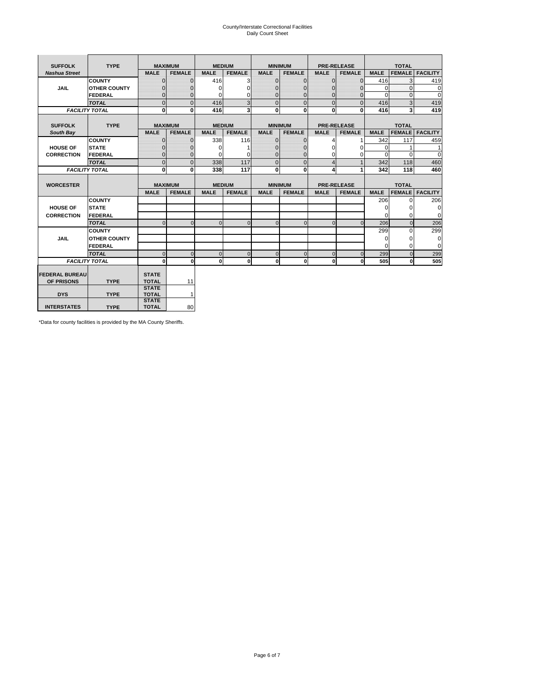# County/Interstate Correctional Facilities Daily Count Sheet

| <b>SUFFOLK</b>        | <b>TYPE</b>           |                              | <b>MAXIMUM</b> |             | <b>MEDIUM</b>  | <b>MINIMUM</b> |               |                | <b>PRE-RELEASE</b> |             | <b>TOTAL</b>  |                 |
|-----------------------|-----------------------|------------------------------|----------------|-------------|----------------|----------------|---------------|----------------|--------------------|-------------|---------------|-----------------|
| <b>Nashua Street</b>  |                       | <b>MALE</b>                  | <b>FEMALE</b>  | <b>MALE</b> | <b>FEMALE</b>  | <b>MALE</b>    | <b>FEMALE</b> | <b>MALE</b>    | <b>FEMALE</b>      | <b>MALE</b> | <b>FEMALE</b> | <b>FACILITY</b> |
|                       | <b>COUNTY</b>         | $\Omega$                     | $\mathbf{0}$   | 416         | 3              | $\mathbf{0}$   | $\Omega$      | $\mathbf{0}$   | $\Omega$           | 416         | 3             | 419             |
| JAIL                  | <b>OTHER COUNTY</b>   | $\Omega$                     | $\Omega$       | $\Omega$    | 0              | $\Omega$       | $\Omega$      | $\Omega$       | $\Omega$           | $\Omega$    | $\Omega$      | 0               |
|                       | <b>FEDERAL</b>        | $\mathbf{0}$                 | $\mathbf{0}$   | 0           | 0              | $\mathbf{0}$   | $\mathbf{0}$  | $\mathbf 0$    | $\mathbf{0}$       | $\Omega$    | 0             | 0               |
|                       | <b>TOTAL</b>          | $\Omega$                     | $\Omega$       | 416         | $\overline{3}$ | $\overline{0}$ | $\Omega$      | $\Omega$       | $\Omega$           | 416         | 3             | 419             |
|                       | <b>FACILITY TOTAL</b> | 0                            | $\mathbf{0}$   | 416         | 3              | $\mathbf{0}$   | $\bf{0}$      | $\mathbf{0}$   | 0                  | 416         | 3             | 419             |
|                       |                       |                              |                |             |                |                |               |                |                    |             |               |                 |
| <b>SUFFOLK</b>        | <b>TYPE</b>           |                              | <b>MAXIMUM</b> |             | <b>MEDIUM</b>  | <b>MINIMUM</b> |               |                | <b>PRE-RELEASE</b> |             | <b>TOTAL</b>  |                 |
| South Bay             |                       | <b>MALE</b>                  | <b>FEMALE</b>  | <b>MALE</b> | <b>FEMALE</b>  | <b>MALE</b>    | <b>FEMALE</b> | <b>MALE</b>    | <b>FEMALE</b>      | <b>MALE</b> | <b>FEMALE</b> | <b>FACILITY</b> |
|                       | <b>COUNTY</b>         | $\Omega$                     | $\mathbf{0}$   | 338         | 116            | $\mathbf{0}$   | $\mathbf{0}$  | 4              |                    | 342         | 117           | 459             |
| <b>HOUSE OF</b>       | <b>STATE</b>          |                              | $\overline{0}$ | $\Omega$    |                | $\Omega$       | O             | $\Omega$       | $\Omega$           | $\Omega$    |               | 1               |
| <b>CORRECTION</b>     | <b>FEDERAL</b>        | $\Omega$                     | $\overline{0}$ | 0           | $\Omega$       | $\mathbf{0}$   | $\mathbf{0}$  | $\Omega$       | 0                  | $\Omega$    | $\Omega$      | $\Omega$        |
|                       | <b>TOTAL</b>          | $\Omega$                     | $\overline{0}$ | 338         | 117            | $\mathbf 0$    | $\mathbf{0}$  | $\overline{4}$ | $\mathbf{1}$       | 342         | 118           | 460             |
|                       | <b>FACILITY TOTAL</b> | 0                            | 0              | 338         | 117            | $\mathbf{0}$   | 0             | 4              | 1                  | 342         | 118           | 460             |
|                       |                       |                              |                |             |                |                |               |                |                    |             |               |                 |
| <b>WORCESTER</b>      |                       |                              | <b>MAXIMUM</b> |             | <b>MEDIUM</b>  | <b>MINIMUM</b> |               |                | <b>PRE-RELEASE</b> |             | <b>TOTAL</b>  |                 |
|                       |                       | <b>MALE</b>                  | <b>FEMALE</b>  | <b>MALE</b> | <b>FEMALE</b>  | <b>MALE</b>    | <b>FEMALE</b> | <b>MALE</b>    | <b>FEMALE</b>      | <b>MALE</b> | <b>FEMALE</b> | <b>FACILITY</b> |
|                       | <b>COUNTY</b>         |                              |                |             |                |                |               |                |                    | 206         | $\Omega$      | 206             |
| <b>HOUSE OF</b>       | <b>STATE</b>          |                              |                |             |                |                |               |                |                    | 0           | 0             | 0               |
| <b>CORRECTION</b>     | FEDERAL               |                              |                |             |                |                |               |                |                    | $\Omega$    | $\Omega$      | 0               |
|                       | <b>TOTAL</b>          | $\Omega$                     | $\mathbf{0}$   | $\Omega$    | $\mathbf 0$    | $\mathbf{0}$   | $\mathbf{0}$  | $\mathbf{0}$   | $\Omega$           | 206         | $\mathbf{0}$  | 206             |
|                       | <b>COUNTY</b>         |                              |                |             |                |                |               |                |                    | 299         | $\Omega$      | 299             |
| <b>JAIL</b>           | <b>OTHER COUNTY</b>   |                              |                |             |                |                |               |                |                    | $\Omega$    | $\Omega$      | 0               |
|                       | FEDERAL               |                              |                |             |                |                |               |                |                    | $\Omega$    | $\Omega$      | $\mathbf 0$     |
|                       | <b>TOTAL</b>          | $\cap$                       | $\Omega$       | $\Omega$    | $\mathbf{0}$   | $\mathbf{0}$   | $\Omega$      | $\Omega$       | $\Omega$           | 299         | $\Omega$      | 299             |
|                       | <b>FACILITY TOTAL</b> | $\Omega$                     | 0              | $\Omega$    | 0              | $\mathbf{0}$   | $\bf{0}$      | $\mathbf 0$    | 0                  | 505         | O             | 505             |
|                       |                       |                              |                |             |                |                |               |                |                    |             |               |                 |
| <b>FEDERAL BUREAU</b> |                       | <b>STATE</b>                 |                |             |                |                |               |                |                    |             |               |                 |
| OF PRISONS            | <b>TYPE</b>           | <b>TOTAL</b>                 | 11             |             |                |                |               |                |                    |             |               |                 |
| <b>DYS</b>            | <b>TYPE</b>           | <b>STATE</b><br><b>TOTAL</b> | $\mathbf{1}$   |             |                |                |               |                |                    |             |               |                 |
|                       |                       |                              |                |             |                |                |               |                |                    |             |               |                 |
|                       |                       | <b>STATE</b>                 |                |             |                |                |               |                |                    |             |               |                 |

\*Data for county facilities is provided by the MA County Sheriffs.